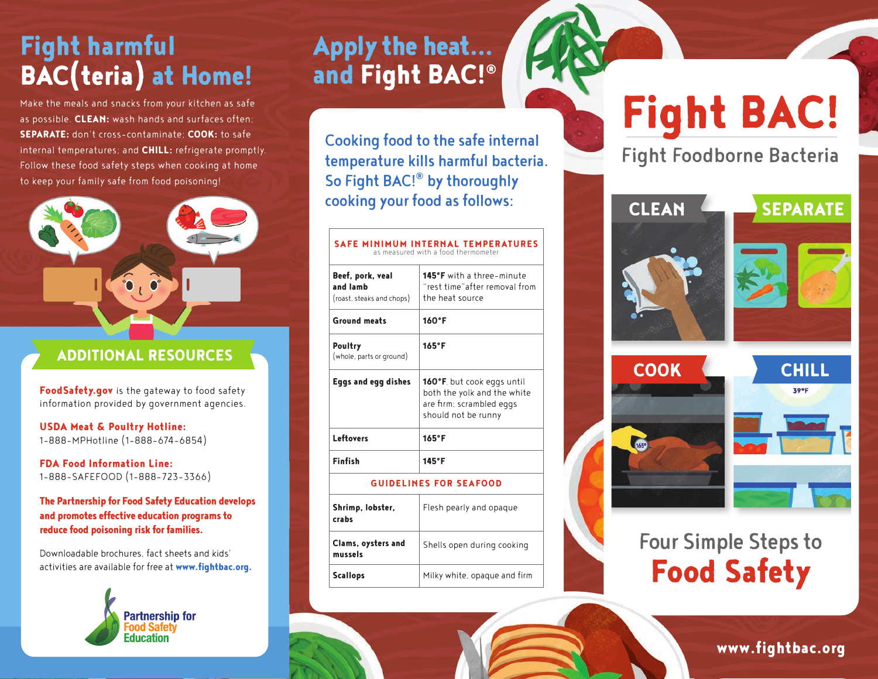## Fight harmful BAC(teria) at Home!

Make the meals and snacks from your kitchen as safe as possible. CLEAN: wash hands and surfaces often; SEPARATE: don't cross-contaminate; COOK: to safe internal temperatures; and **CHILL:** refrigerate promptly. Follow these food safety steps when cooking at home to keep your family safe from food poisoning!



### ADDITIONAL RESOURCES

Food Safety.gov is the gateway to food safety information provided by government agencies.

USDA Meat & Poultry Hotline: 1-888-MPHotline (1-888-674-6854)

FDA Food Information Line: 1-888-SAFEFOOD (1-888-723-3366)

The Partnership for Food Safety Education develops and promotes effective education programs to reduce food poisoning risk for families.

Downloadable brochures, fact sheets and kids' activities are available for free at www.fightbac.org.



### Apply the heat... and Fight BAC!®

Cooking food to the safe internal temperature kills harmful bacteria. So Fight BAC!® by thoroughly cooking your food as follows:

#### SAFE MINIMUM INTERNAL TEMPERATURES as measured with a food thermometer

Beef, pork, veal and lamb (roast, steaks and chops) 145°F with a three-minute "rest time"after removal from the heat source Ground meats 160˚F Poultry (whole, parts or ground) 165˚F Eggs and egg dishes | 160°F, but cook eggs until both the yolk and the white are firm; scrambled eggs should not be runny Leftovers 165°F Finfish 145˚F GUIDELINES FOR SEAFOOD

#### Shrimp, lobster, crabs Flesh pearly and opaque Clams, oysters and mussels Shells open during cooking Scallops Milky white, opaque and firm

# Fight BAC!

Fight Foodborne Bacteria

CLEAN SEPARATE







### Four Simple Steps to Food Safety

www.fightbac.org